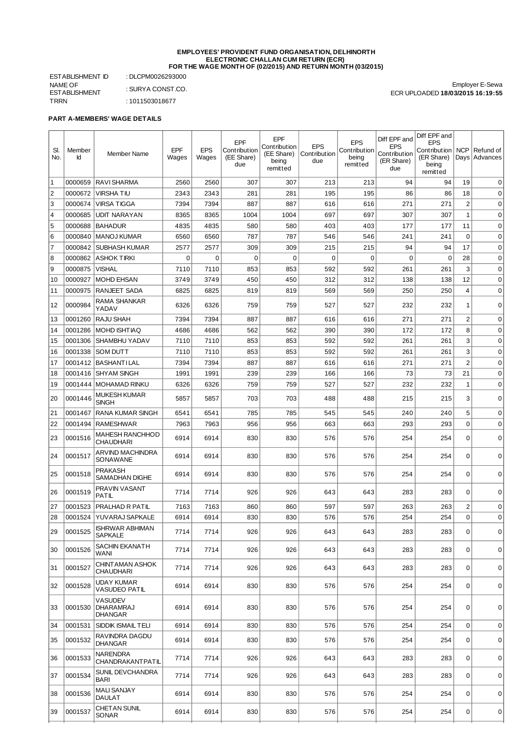#### **EMPLOYEES' PROVIDENT FUND ORGANISATION, DELHINORTH ELECTRONIC CHALLAN CUM RETURN (ECR) FOR THE WAGE MONTH OF (02/2015) AND RETURN MONTH (03/2015)**

ESTABLISHMENT ID : DLCPM0026293000 NAME OF ESTABLISHMENT<br>TRRN

: SURYA CONST.CO.  $: 1011503018677$ 

Employer E-Sewa ECR UPLOADED **18/03/2015 16:19:55**

# **PART A-MEMBERS' WAGE DETAILS**

| SI.<br>No.           | Member<br>Id       | Member Name                                   | EPF<br>Wages | <b>EPS</b><br>Wages | EPF<br>Contribution<br>(EE Share)<br>due | EPF<br>Contribution<br>(EE Share)<br>being<br>remitted | <b>EPS</b><br>Contribution<br>due | <b>EPS</b><br>Contribution<br>being<br>remitted | Diff EPF and<br><b>EPS</b><br>Contribution<br>(ER Share)<br>due | Diff EPF and<br><b>EPS</b><br>Contribution<br>(ER Share)<br>being<br>remitted | NCP                  | Refund of<br>Days Advances |
|----------------------|--------------------|-----------------------------------------------|--------------|---------------------|------------------------------------------|--------------------------------------------------------|-----------------------------------|-------------------------------------------------|-----------------------------------------------------------------|-------------------------------------------------------------------------------|----------------------|----------------------------|
| $\vert$ 1            | 0000659            | RAVI SHARMA                                   | 2560         | 2560                | 307                                      | 307                                                    | 213                               | 213                                             | 94                                                              | 94                                                                            | 19                   | $\Omega$                   |
| $\vert$ <sub>2</sub> | 0000672            | <b>VIRSHATIU</b>                              | 2343         | 2343                | 281                                      | 281                                                    | 195                               | 195                                             | 86                                                              | 86                                                                            | 18                   | 0                          |
| 3                    | 0000674            | <b>VIRSA TIGGA</b>                            | 7394         | 7394                | 887                                      | 887                                                    | 616                               | 616                                             | 271                                                             | 271                                                                           | $\overline{c}$       | $\mathbf 0$                |
| 4                    | 0000685            | <b>UDIT NARAYAN</b>                           | 8365         | 8365                | 1004                                     | 1004                                                   | 697                               | 697                                             | 307                                                             | 307                                                                           | $1\,$                | $\mathbf 0$                |
| 5                    | 0000688            | <b>BAHADUR</b>                                | 4835         | 4835                | 580                                      | 580                                                    | 403                               | 403                                             | 177                                                             | 177                                                                           | 11                   | $\mathbf 0$                |
| 6                    | 0000840            | MANOJ KUMAR                                   | 6560         | 6560                | 787                                      | 787                                                    | 546                               | 546                                             | 241                                                             | 241                                                                           | $\mathbf 0$          | $\mathbf 0$                |
| 8                    | 0000842            | <b>SUBHASH KUMAR</b>                          | 2577         | 2577                | 309                                      | 309                                                    | 215                               | 215                                             | 94                                                              | 94                                                                            | 17                   | $\mathbf 0$                |
| 9                    | 0000875            | 0000862 ASHOK TIRKI<br><b>VISHAL</b>          | 0<br>7110    | $\mathbf 0$<br>7110 | $\mathbf 0$<br>853                       | $\mathbf 0$<br>853                                     | $\mathbf 0$<br>592                | 0<br>592                                        | $\mathbf 0$<br>261                                              | 0<br>261                                                                      | 28<br>3              | $\mathbf 0$<br>$\mathbf 0$ |
| 10                   |                    |                                               |              |                     | 450                                      | 450                                                    | 312                               |                                                 |                                                                 | 138                                                                           | 12                   | $\mathbf 0$                |
|                      | 0000927<br>0000975 | MOHD EHSAN<br>RANJEET SADA                    | 3749<br>6825 | 3749<br>6825        | 819                                      | 819                                                    | 569                               | 312<br>569                                      | 138<br>250                                                      | 250                                                                           | $\overline{4}$       | $\mathbf 0$                |
| 11                   |                    | RAMA SHANKAR                                  |              |                     |                                          |                                                        |                                   |                                                 |                                                                 |                                                                               |                      |                            |
| 12                   | 0000984            | YADAV                                         | 6326         | 6326                | 759                                      | 759                                                    | 527                               | 527                                             | 232                                                             | 232                                                                           | 1                    | $\mathbf 0$                |
| 13                   | 0001260            | <b>RAJU SHAH</b>                              | 7394         | 7394                | 887                                      | 887                                                    | 616                               | 616                                             | 271                                                             | 271                                                                           | $\overline{c}$       | $\mathbf 0$                |
| 14                   | 0001286            | <b>MOHD ISHTIAO</b>                           | 4686         | 4686                | 562                                      | 562                                                    | 390                               | 390                                             | 172                                                             | 172                                                                           | 8                    | $\mathbf 0$                |
| 15                   | 0001306            | SHAMBHU YADAV                                 | 7110         | 7110                | 853                                      | 853                                                    | 592                               | 592                                             | 261                                                             | 261                                                                           | 3                    | $\mathbf 0$                |
| 16                   | 0001338            | <b>SOM DUTT</b>                               | 7110         | 7110                | 853                                      | 853                                                    | 592                               | 592                                             | 261                                                             | 261                                                                           | 3                    | $\mathbf 0$                |
| 17                   | 0001412<br>0001416 | <b>BASHANTILAL</b><br><b>SHYAM SINGH</b>      | 7394<br>1991 | 7394<br>1991        | 887<br>239                               | 887<br>239                                             | 616<br>166                        | 616<br>166                                      | 271<br>73                                                       | 271<br>73                                                                     | $\overline{2}$<br>21 | $\mathbf 0$<br>$\mathbf 0$ |
| 18<br> 19            | 0001444            | <b>MOHAMAD RINKU</b>                          | 6326         | 6326                | 759                                      | 759                                                    | 527                               | 527                                             | 232                                                             | 232                                                                           | $\mathbf{1}$         | $\mathbf 0$                |
|                      |                    | <b>MUKESH KUMAR</b>                           |              |                     |                                          |                                                        |                                   |                                                 |                                                                 |                                                                               |                      |                            |
| 20                   | 0001446            | <b>SINGH</b>                                  | 5857         | 5857                | 703                                      | 703                                                    | 488                               | 488                                             | 215                                                             | 215                                                                           | 3                    | $\mathbf 0$                |
| 21                   | 0001467            | RANA KUMAR SINGH                              | 6541         | 6541                | 785                                      | 785                                                    | 545                               | 545                                             | 240                                                             | 240                                                                           | 5                    | $\mathbf 0$                |
| 22                   |                    | 0001494 RAMESHWAR                             | 7963         | 7963                | 956                                      | 956                                                    | 663                               | 663                                             | 293                                                             | 293                                                                           | $\mathbf 0$          | $\mathbf 0$                |
| 23                   | 0001516            | <b>MAHESH RANCHHOD</b><br><b>CHAUDHARI</b>    | 6914         | 6914                | 830                                      | 830                                                    | 576                               | 576                                             | 254                                                             | 254                                                                           | $\mathbf 0$          | $\mathbf 0$                |
| 24                   | 0001517            | ARVIND MACHINDRA<br>SONAWANE                  | 6914         | 6914                | 830                                      | 830                                                    | 576                               | 576                                             | 254                                                             | 254                                                                           | $\mathbf 0$          | $\mathbf 0$                |
| 25                   | 0001518            | <b>PRAKASH</b><br>SAMADHAN DIGHE              | 6914         | 6914                | 830                                      | 830                                                    | 576                               | 576                                             | 254                                                             | 254                                                                           | 0                    | $\Omega$                   |
| 26                   | 0001519            | PRAVIN VASANT<br><b>PATIL</b>                 | 7714         | 7714                | 926                                      | 926                                                    | 643                               | 643                                             | 283                                                             | 283                                                                           | $\mathbf 0$          | 0                          |
| 27                   | 0001523            | PRALHAD R PATIL                               | 7163         | 7163                | 860                                      | 860                                                    | 597                               | 597                                             | 263                                                             | 263                                                                           | $\overline{c}$       | 0                          |
| 28                   | 0001524            | YUVARAJ SAPKALE                               | 6914         | 6914                | 830                                      | 830                                                    | 576                               | 576                                             | 254                                                             | 254                                                                           | 0                    | $\mathbf 0$                |
| 29                   | 0001525            | <b>ISHRWAR ABHIMAN</b><br><b>SAPKALE</b>      | 7714         | 7714                | 926                                      | 926                                                    | 643                               | 643                                             | 283                                                             | 283                                                                           | 0                    | 0                          |
| 30                   | 0001526            | SACHIN EKANATH<br>WANI                        | 7714         | 7714                | 926                                      | 926                                                    | 643                               | 643                                             | 283                                                             | 283                                                                           | $\mathbf 0$          | 0                          |
| 31                   | 0001527            | CHINT AMAN ASHOK<br><b>CHAUDHARI</b>          | 7714         | 7714                | 926                                      | 926                                                    | 643                               | 643                                             | 283                                                             | 283                                                                           | $\mathbf 0$          | $\mathbf 0$                |
| 32                   | 0001528            | UDAY KUMAR<br>VASUDEO PATIL                   | 6914         | 6914                | 830                                      | 830                                                    | 576                               | 576                                             | 254                                                             | 254                                                                           | $\mathbf 0$          | $\mathbf 0$                |
| 33                   | 0001530            | VASUDEV<br><b>DHARAMRAJ</b><br><b>DHANGAR</b> | 6914         | 6914                | 830                                      | 830                                                    | 576                               | 576                                             | 254                                                             | 254                                                                           | $\mathbf 0$          | $\mathbf 0$                |
| 34                   | 0001531            | <b>SIDDIK ISMAIL TELI</b>                     | 6914         | 6914                | 830                                      | 830                                                    | 576                               | 576                                             | 254                                                             | 254                                                                           | $\pmb{0}$            | 0                          |
| 35                   | 0001532            | RAVINDRA DAGDU<br><b>DHANGAR</b>              | 6914         | 6914                | 830                                      | 830                                                    | 576                               | 576                                             | 254                                                             | 254                                                                           | $\mathbf 0$          | 0                          |
| 36                   | 0001533            | NARENDRA<br>CHANDRAKANTPATIL                  | 7714         | 7714                | 926                                      | 926                                                    | 643                               | 643                                             | 283                                                             | 283                                                                           | $\pmb{0}$            | 0                          |
| 37                   | 0001534            | SUNIL DEVCHANDRA<br><b>BARI</b>               | 7714         | 7714                | 926                                      | 926                                                    | 643                               | 643                                             | 283                                                             | 283                                                                           | $\mathbf 0$          | $\mathbf 0$                |
| 38                   | 0001536            | <b>MALI SANJAY</b><br>DAULAT                  | 6914         | 6914                | 830                                      | 830                                                    | 576                               | 576                                             | 254                                                             | 254                                                                           | 0                    | 0                          |
| 39                   | 0001537            | CHETAN SUNIL<br>SONAR                         | 6914         | 6914                | 830                                      | 830                                                    | 576                               | 576                                             | 254                                                             | 254                                                                           | 0                    | 0                          |
|                      |                    |                                               |              |                     |                                          |                                                        |                                   |                                                 |                                                                 |                                                                               |                      |                            |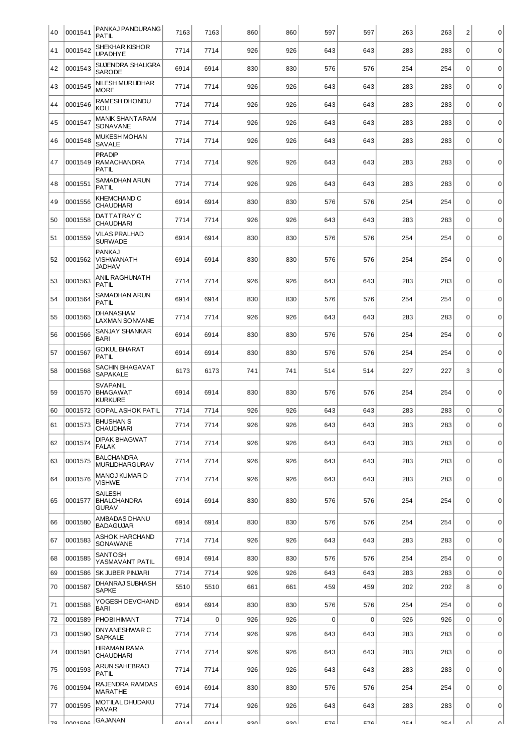| 40 | 0001541 | PANKAJ PANDURANG<br><b>PATIL</b>                     | 7163 | 7163 | 860 | 860 | 597 | 597         | 263 | 263 | $\overline{c}$ | $\mathbf 0$ |
|----|---------|------------------------------------------------------|------|------|-----|-----|-----|-------------|-----|-----|----------------|-------------|
| 41 | 0001542 | SHEKHAR KISHOR<br><b>UPADHYE</b>                     | 7714 | 7714 | 926 | 926 | 643 | 643         | 283 | 283 | $\mathbf 0$    | $\mathbf 0$ |
| 42 | 0001543 | SUJENDRA SHALIGRA<br><b>SARODE</b>                   | 6914 | 6914 | 830 | 830 | 576 | 576         | 254 | 254 | $\Omega$       | $\mathbf 0$ |
| 43 | 0001545 | <b>NILESH MURLIDHAR</b><br><b>MORE</b>               | 7714 | 7714 | 926 | 926 | 643 | 643         | 283 | 283 | $\mathbf 0$    | $\mathbf 0$ |
| 44 | 0001546 | RAMESH DHONDU<br>KOLI                                | 7714 | 7714 | 926 | 926 | 643 | 643         | 283 | 283 | $\mathbf 0$    | $\mathbf 0$ |
| 45 | 0001547 | <b>MANIK SHANTARAM</b><br>SONAVANE                   | 7714 | 7714 | 926 | 926 | 643 | 643         | 283 | 283 | $\Omega$       | $\mathbf 0$ |
| 46 | 0001548 | <b>MUKESH MOHAN</b><br>SAVALE                        | 7714 | 7714 | 926 | 926 | 643 | 643         | 283 | 283 | $\mathbf 0$    | $\mathbf 0$ |
| 47 | 0001549 | <b>PRADIP</b><br><b>RAMACHANDRA</b><br>PATIL         | 7714 | 7714 | 926 | 926 | 643 | 643         | 283 | 283 | $\mathbf 0$    | $\mathbf 0$ |
| 48 | 0001551 | SAMADHAN ARUN<br>PATIL                               | 7714 | 7714 | 926 | 926 | 643 | 643         | 283 | 283 | $\mathbf 0$    | $\mathbf 0$ |
| 49 | 0001556 | <b>KHEMCHAND C</b><br><b>CHAUDHARI</b>               | 6914 | 6914 | 830 | 830 | 576 | 576         | 254 | 254 | $\mathbf 0$    | $\mathbf 0$ |
| 50 | 0001558 | DATTATRAY C<br><b>CHAUDHARI</b>                      | 7714 | 7714 | 926 | 926 | 643 | 643         | 283 | 283 | $\mathbf 0$    | $\mathbf 0$ |
| 51 | 0001559 | <b>VILAS PRALHAD</b><br><b>SURWADE</b>               | 6914 | 6914 | 830 | 830 | 576 | 576         | 254 | 254 | $\mathbf 0$    | $\mathbf 0$ |
| 52 | 0001562 | <b>PANKAJ</b><br>VISHWANATH<br><b>JADHAV</b>         | 6914 | 6914 | 830 | 830 | 576 | 576         | 254 | 254 | $\mathbf 0$    | $\mathbf 0$ |
| 53 | 0001563 | ANIL RAGHUNATH<br>PATIL                              | 7714 | 7714 | 926 | 926 | 643 | 643         | 283 | 283 | $\mathbf 0$    | $\mathbf 0$ |
| 54 | 0001564 | SAMADHAN ARUN<br>PATIL                               | 6914 | 6914 | 830 | 830 | 576 | 576         | 254 | 254 | $\mathbf 0$    | $\mathbf 0$ |
| 55 | 0001565 | <b>DHANASHAM</b><br><b>LAXMAN SONVANE</b>            | 7714 | 7714 | 926 | 926 | 643 | 643         | 283 | 283 | $\mathbf 0$    | $\mathbf 0$ |
| 56 | 0001566 | SANJAY SHANKAR<br><b>BARI</b>                        | 6914 | 6914 | 830 | 830 | 576 | 576         | 254 | 254 | $\mathbf 0$    | $\mathbf 0$ |
| 57 | 0001567 | <b>GOKUL BHARAT</b><br>PATIL                         | 6914 | 6914 | 830 | 830 | 576 | 576         | 254 | 254 | $\mathbf 0$    | $\mathbf 0$ |
| 58 | 0001568 | SACHIN BHAGAVAT<br><b>SAPAKALE</b>                   | 6173 | 6173 | 741 | 741 | 514 | 514         | 227 | 227 | 3              | $\mathbf 0$ |
| 59 | 0001570 | <b>SVAPANIL</b><br><b>BHAGAWAT</b><br><b>KURKURE</b> | 6914 | 6914 | 830 | 830 | 576 | 576         | 254 | 254 | $\mathbf 0$    | $\mathbf 0$ |
| 60 | 0001572 | <b>GOPAL ASHOK PATIL</b>                             | 7714 | 7714 | 926 | 926 | 643 | 643         | 283 | 283 | 0              | 0           |
| 61 | 0001573 | <b>BHUSHAN S</b><br><b>CHAUDHARI</b>                 | 7714 | 7714 | 926 | 926 | 643 | 643         | 283 | 283 | 0              | 0           |
| 62 | 0001574 | <b>DIPAK BHAGWAT</b><br>FALAK                        | 7714 | 7714 | 926 | 926 | 643 | 643         | 283 | 283 | $\Omega$       | 0           |
| 63 | 0001575 | <b>BALCHANDRA</b><br><b>MURLIDHARGURAV</b>           | 7714 | 7714 | 926 | 926 | 643 | 643         | 283 | 283 | $\mathbf 0$    | $\mathbf 0$ |
| 64 | 0001576 | MANOJ KUMAR D<br><b>VISHWE</b>                       | 7714 | 7714 | 926 | 926 | 643 | 643         | 283 | 283 | $\Omega$       | $\mathsf 0$ |
| 65 | 0001577 | SAILESH<br><b>BHALCHANDRA</b><br><b>GURAV</b>        | 6914 | 6914 | 830 | 830 | 576 | 576         | 254 | 254 | 0              | 0           |
| 66 | 0001580 | AMBADAS DHANU<br><b>BADAGUJAR</b>                    | 6914 | 6914 | 830 | 830 | 576 | 576         | 254 | 254 | $\mathbf 0$    | $\mathsf 0$ |
| 67 | 0001583 | ASHOK HARCHAND<br>SONAWANE                           | 7714 | 7714 | 926 | 926 | 643 | 643         | 283 | 283 | $\mathbf 0$    | $\mathbf 0$ |
| 68 | 0001585 | SANTOSH<br>YASMAVANT PATIL                           | 6914 | 6914 | 830 | 830 | 576 | 576         | 254 | 254 | $\mathbf 0$    | $\mathbf 0$ |
| 69 | 0001586 | SK JUBER PINJARI                                     | 7714 | 7714 | 926 | 926 | 643 | 643         | 283 | 283 | $\Omega$       | $\mathbf 0$ |
| 70 | 0001587 | DHANRAJ SUBHASH<br><b>SAPKE</b>                      | 5510 | 5510 | 661 | 661 | 459 | 459         | 202 | 202 | 8              | $\mathsf 0$ |
| 71 | 0001588 | YOGESH DEVCHAND<br><b>BARI</b>                       | 6914 | 6914 | 830 | 830 | 576 | 576         | 254 | 254 | $\Omega$       | 0           |
| 72 | 0001589 | PHOBI HIMANT                                         | 7714 | 0    | 926 | 926 | 0   | $\mathbf 0$ | 926 | 926 | $\mathbf 0$    | $\mathbf 0$ |
| 73 | 0001590 | DNYANESHWAR C<br><b>SAPKALE</b>                      | 7714 | 7714 | 926 | 926 | 643 | 643         | 283 | 283 | $\mathbf 0$    | $\mathbf 0$ |
| 74 | 0001591 | <b>HIRAMAN RAMA</b><br><b>CHAUDHARI</b>              | 7714 | 7714 | 926 | 926 | 643 | 643         | 283 | 283 | $\Omega$       | $\mathbf 0$ |
| 75 | 0001593 | ARUN SAHEBRAO<br>PATIL                               | 7714 | 7714 | 926 | 926 | 643 | 643         | 283 | 283 | $\mathbf 0$    | $\mathbf 0$ |
| 76 | 0001594 | RAJENDRA RAMDAS<br><b>MARATHE</b>                    | 6914 | 6914 | 830 | 830 | 576 | 576         | 254 | 254 | $\mathbf 0$    | 0           |
| 77 | 0001595 | MOTILAL DHUDAKU<br>PAVAR                             | 7714 | 7714 | 926 | 926 | 643 | 643         | 283 | 283 | $\mathbf 0$    | $\mathbf 0$ |
|    |         |                                                      |      |      |     |     |     |             |     |     |                |             |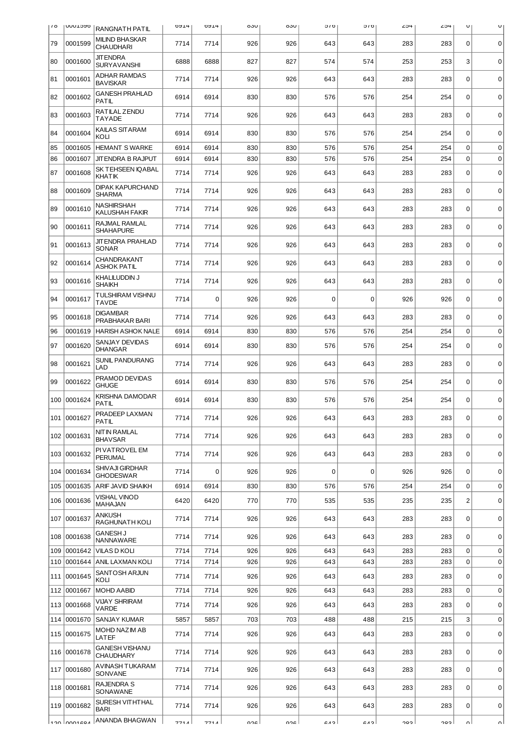| $\sqrt{0}$ | <b>Innntaao</b> | RANGNATH PATIL                            | <b>DAT4</b> | <b>DAT4</b> | OJU | oou | 01C         | 010            | 4⊂∠ | 254 | U              | U           |
|------------|-----------------|-------------------------------------------|-------------|-------------|-----|-----|-------------|----------------|-----|-----|----------------|-------------|
| 79         | 0001599         | <b>MILIND BHASKAR</b><br><b>CHAUDHARI</b> | 7714        | 7714        | 926 | 926 | 643         | 643            | 283 | 283 | $\Omega$       | $\mathbf 0$ |
| 80         | 0001600         | <b>JIT ENDRA</b><br><b>SURYAVANSHI</b>    | 6888        | 6888        | 827 | 827 | 574         | 574            | 253 | 253 | 3              | $\mathbf 0$ |
| 81         | 0001601         | <b>ADHAR RAMDAS</b><br><b>BAVISKAR</b>    | 7714        | 7714        | 926 | 926 | 643         | 643            | 283 | 283 | $\mathbf 0$    | $\mathbf 0$ |
| 82         | 0001602         | <b>GANESH PRAHLAD</b><br><b>PATIL</b>     | 6914        | 6914        | 830 | 830 | 576         | 576            | 254 | 254 | $\mathbf 0$    | $\mathbf 0$ |
| 83         | 0001603         | RATILAL ZENDU<br>TAYADE                   | 7714        | 7714        | 926 | 926 | 643         | 643            | 283 | 283 | $\mathbf 0$    | $\mathbf 0$ |
| 84         | 0001604         | KAILAS SITARAM<br>KOLI                    | 6914        | 6914        | 830 | 830 | 576         | 576            | 254 | 254 | $\mathbf 0$    | 0           |
| 85         | 0001605         | <b>HEMANT S WARKE</b>                     | 6914        | 6914        | 830 | 830 | 576         | 576            | 254 | 254 | $\mathbf 0$    | $\mathbf 0$ |
| 86         | 0001607         | JITENDRA B RAJPUT                         | 6914        | 6914        | 830 | 830 | 576         | 576            | 254 | 254 | $\Omega$       | 0           |
| 87         | 0001608         | SK TEHSEEN IQABAL<br>KHATIK               | 7714        | 7714        | 926 | 926 | 643         | 643            | 283 | 283 | $\Omega$       | $\mathbf 0$ |
| 88         | 0001609         | <b>DIPAK KAPURCHAND</b><br><b>SHARMA</b>  | 7714        | 7714        | 926 | 926 | 643         | 643            | 283 | 283 | $\mathbf 0$    | 0           |
| 89         | 0001610         | NASHIRSHAH<br>KALUSHAH FAKIR              | 7714        | 7714        | 926 | 926 | 643         | 643            | 283 | 283 | $\mathbf 0$    | $\mathbf 0$ |
| 90         | 0001611         | RAJMAL RAMLAL<br><b>SHAHAPURE</b>         | 7714        | 7714        | 926 | 926 | 643         | 643            | 283 | 283 | $\Omega$       | $\mathbf 0$ |
| 91         | 0001613         | <b>JITENDRA PRAHLAD</b><br><b>SONAR</b>   | 7714        | 7714        | 926 | 926 | 643         | 643            | 283 | 283 | $\mathbf 0$    | $\mathbf 0$ |
| 92         | 0001614         | CHANDRAKANT<br><b>ASHOK PATIL</b>         | 7714        | 7714        | 926 | 926 | 643         | 643            | 283 | 283 | $\mathbf 0$    | $\mathbf 0$ |
| 93         | 0001616         | KHALILUDDIN J<br><b>SHAIKH</b>            | 7714        | 7714        | 926 | 926 | 643         | 643            | 283 | 283 | $\mathbf 0$    | $\mathbf 0$ |
| 94         | 0001617         | TULSHIRAM VISHNU<br><b>TAVDE</b>          | 7714        | $\mathbf 0$ | 926 | 926 | $\mathbf 0$ | $\mathbf 0$    | 926 | 926 | $\mathbf 0$    | $\mathbf 0$ |
| 95         | 0001618         | DIGAMBAR<br>PRABHAKAR BARI                | 7714        | 7714        | 926 | 926 | 643         | 643            | 283 | 283 | $\mathbf 0$    | $\mathbf 0$ |
| 96         | 0001619         | <b>HARISH ASHOK NALE</b>                  | 6914        | 6914        | 830 | 830 | 576         | 576            | 254 | 254 | $\mathbf 0$    | $\mathbf 0$ |
| 97         | 0001620         | SANJAY DEVIDAS<br><b>DHANGAR</b>          | 6914        | 6914        | 830 | 830 | 576         | 576            | 254 | 254 | $\mathbf 0$    | $\mathbf 0$ |
| 98         | 0001621         | SUNIL PANDURANG<br>LAD                    | 7714        | 7714        | 926 | 926 | 643         | 643            | 283 | 283 | $\mathbf 0$    | $\mathbf 0$ |
| 99         | 0001622         | PRAMOD DEVIDAS<br><b>GHUGE</b>            | 6914        | 6914        | 830 | 830 | 576         | 576            | 254 | 254 | $\mathbf 0$    | $\mathbf 0$ |
| 100        | 0001624         | KRISHNA DAMODAR<br>PATIL                  | 6914        | 6914        | 830 | 830 | 576         | 576            | 254 | 254 | 0              | 0           |
|            | 101 0001627     | PRADEEP LAXMAN<br><b>PATIL</b>            | 7714        | 7714        | 926 | 926 | 643         | 643            | 283 | 283 | 0              | 0           |
|            | 102 0001631     | NIT IN RAMLAL<br><b>BHAVSAR</b>           | 7714        | 7714        | 926 | 926 | 643         | 643            | 283 | 283 | $\mathbf 0$    | 0           |
|            | 103 0001632     | PI VATROVEL EM<br>PERUMAL                 | 7714        | 7714        | 926 | 926 | 643         | 643            | 283 | 283 | $\mathbf 0$    | $\mathbf 0$ |
|            | 104 0001634     | SHIVAJI GIRDHAR<br><b>GHODESWAR</b>       | 7714        | $\mathbf 0$ | 926 | 926 | $\mathbf 0$ | $\mathbf 0$    | 926 | 926 | $\mathbf 0$    | $\mathbf 0$ |
|            | 105 0001635     | ARIF JAVID SHAIKH                         | 6914        | 6914        | 830 | 830 | 576         | 576            | 254 | 254 | $\mathbf 0$    | $\mathbf 0$ |
|            | 106 0001636     | VISHAL VINOD<br>MAHAJAN                   | 6420        | 6420        | 770 | 770 | 535         | 535            | 235 | 235 | $\overline{c}$ | $\mathbf 0$ |
|            | 107 0001637     | ANKUSH<br>RAGHUNATH KOLI                  | 7714        | 7714        | 926 | 926 | 643         | 643            | 283 | 283 | $\mathbf 0$    | $\mathbf 0$ |
|            | 108 0001638     | <b>GANESH J</b><br>NANNAWARE              | 7714        | 7714        | 926 | 926 | 643         | 643            | 283 | 283 | 0              | $\mathbf 0$ |
| 109        | 0001642         | <b>VILAS D KOLI</b>                       | 7714        | 7714        | 926 | 926 | 643         | 643            | 283 | 283 | $\pmb{0}$      | $\mathbf 0$ |
| 110        | 0001644         | ANIL LAXMAN KOLI <br>SANTOSH ARJUN        | 7714        | 7714        | 926 | 926 | 643         | 643            | 283 | 283 | $\mathbf 0$    | $\mathbf 0$ |
|            | 111 0001645     | KOLI                                      | 7714        | 7714        | 926 | 926 | 643         | 643            | 283 | 283 | $\mathbf 0$    | $\mathbf 0$ |
| 112        | 0001667         | <b>MOHD AABID</b>                         | 7714        | 7714        | 926 | 926 | 643         | 643            | 283 | 283 | $\mathbf 0$    | $\mathbf 0$ |
|            | 113 0001668     | VIJAY SHRIRAM<br>VARDE                    | 7714        | 7714        | 926 | 926 | 643         | 643            | 283 | 283 | 0              | $\mathbf 0$ |
|            | 114 0001670     | SANJAY KUMAR                              | 5857        | 5857        | 703 | 703 | 488         | 488            | 215 | 215 | 3              | $\mathbf 0$ |
|            | 115 0001675     | MOHD NAZIM AB<br>LATEF                    | 7714        | 7714        | 926 | 926 | 643         | 643            | 283 | 283 | $\mathbf 0$    | $\mathbf 0$ |
|            | 116 0001678     | <b>GANESH VISHANU</b><br>CHAUDHARY        | 7714        | 7714        | 926 | 926 | 643         | 643            | 283 | 283 | $\mathbf 0$    | 0           |
|            | 117 0001680     | AVINASH TUKARAM<br><b>SONVANE</b>         | 7714        | 7714        | 926 | 926 | 643         | 643            | 283 | 283 | $\mathbf 0$    | $\pmb{0}$   |
|            | 118 0001681     | RAJENDRA S<br>SONAWANE                    | 7714        | 7714        | 926 | 926 | 643         | 643            | 283 | 283 | $\mathbf 0$    | $\mathbf 0$ |
|            | 119 0001682     | SURESH VITHTHAL<br>BARI                   | 7714        | 7714        | 926 | 926 | 643         | 643            | 283 | 283 | $\mathbf 0$    | $\mathbf 0$ |
|            | روء مممل معدا   | ANANDA BHAGWAN                            | 771A        | 771 A I     | ດາຂ | nor | 0.12        | C <sub>A</sub> | າ໑າ | כסר | nΙ             | nΙ          |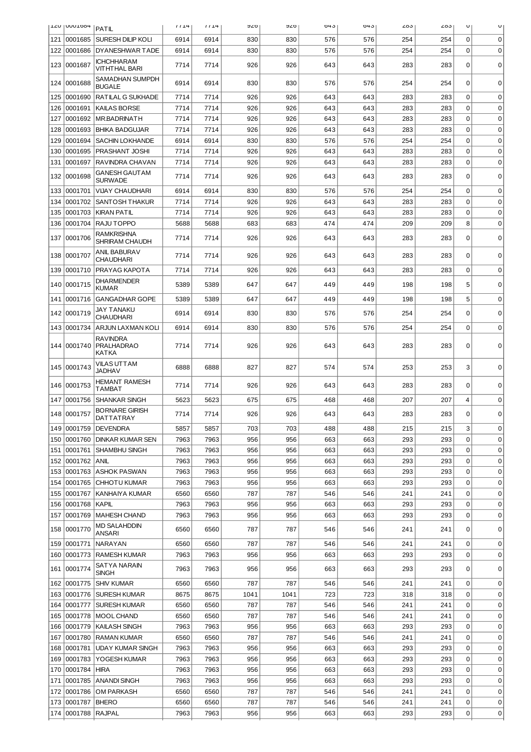|     | <b>TYA I ANNI DOH</b> | PATIL                                         | 1114 | 1114 | ס∠פ  | ס∠פ  | 043 | 043 | 203 | دە∠ | U              | U           |
|-----|-----------------------|-----------------------------------------------|------|------|------|------|-----|-----|-----|-----|----------------|-------------|
| 121 | 0001685               | <b>SURESH DILIP KOLI</b>                      | 6914 | 6914 | 830  | 830  | 576 | 576 | 254 | 254 | $\Omega$       | 0           |
| 122 | 0001686               | DYANESHWAR TADE                               | 6914 | 6914 | 830  | 830  | 576 | 576 | 254 | 254 | $\Omega$       | $\Omega$    |
| 123 | 0001687               | ICHCHHARAM<br><b>VITHTHAL BARI</b>            | 7714 | 7714 | 926  | 926  | 643 | 643 | 283 | 283 | $\mathbf 0$    | $\mathbf 0$ |
| 124 | 0001688               | SAMADHAN SUMPDH<br><b>BUGALE</b>              | 6914 | 6914 | 830  | 830  | 576 | 576 | 254 | 254 | $\Omega$       | $\Omega$    |
| 125 | 0001690               | RATILAL G SUKHADE                             | 7714 | 7714 | 926  | 926  | 643 | 643 | 283 | 283 | 0              | 0           |
| 126 | 0001691               | <b>KAILAS BORSE</b>                           | 7714 | 7714 | 926  | 926  | 643 | 643 | 283 | 283 | $\Omega$       | 0           |
| 127 | 0001692               | <b>IMR.BADRINATH</b>                          | 7714 | 7714 | 926  | 926  | 643 | 643 | 283 | 283 | 0              | 0           |
| 128 | 0001693               | <b>BHIKA BADGUJAR</b>                         | 7714 | 7714 | 926  | 926  | 643 | 643 | 283 | 283 | $\Omega$       | 0           |
| 129 | 0001694               | SACHIN LOKHANDE                               | 6914 | 6914 | 830  | 830  | 576 | 576 | 254 | 254 | $\Omega$       | $\mathbf 0$ |
| 130 | 0001695               | PRASHANT JOSHI                                | 7714 | 7714 | 926  | 926  | 643 | 643 | 283 | 283 | $\Omega$       | 0           |
| 131 | 0001697               | RAVINDRA CHAVAN                               | 7714 | 7714 | 926  | 926  | 643 | 643 | 283 | 283 | $\mathbf 0$    | 0           |
| 132 | 0001698               | <b>GANESH GAUT AM</b><br><b>SURWADE</b>       | 7714 | 7714 | 926  | 926  | 643 | 643 | 283 | 283 | $\Omega$       | 0           |
| 133 | 0001701               | <b>VIJAY CHAUDHARI</b>                        | 6914 | 6914 | 830  | 830  | 576 | 576 | 254 | 254 | $\mathbf 0$    | $\mathbf 0$ |
| 134 | 0001702               | <b>SANTOSH THAKUR</b>                         | 7714 | 7714 | 926  | 926  | 643 | 643 | 283 | 283 | $\Omega$       | 0           |
| 135 | 0001703               | <b>KIRAN PATIL</b>                            | 7714 | 7714 | 926  | 926  | 643 | 643 | 283 | 283 | $\Omega$       | 0           |
| 136 | 0001704               | RAJU TOPPO                                    | 5688 | 5688 | 683  | 683  | 474 | 474 | 209 | 209 | 8              | 0           |
| 137 | 0001706               | <b>RAMKRISHNA</b><br><b>SHRIRAM CHAUDH</b>    | 7714 | 7714 | 926  | 926  | 643 | 643 | 283 | 283 | $\Omega$       | $\mathbf 0$ |
| 138 | 0001707               | ANIL BABURAV<br><b>CHAUDHARI</b>              | 7714 | 7714 | 926  | 926  | 643 | 643 | 283 | 283 | $\Omega$       | 0           |
| 139 | 0001710               | PRAYAG KAPOTA                                 | 7714 | 7714 | 926  | 926  | 643 | 643 | 283 | 283 | $\mathbf 0$    | $\mathbf 0$ |
| 140 | 0001715               | <b>DHARMENDER</b><br><b>KUMAR</b>             | 5389 | 5389 | 647  | 647  | 449 | 449 | 198 | 198 | 5              | 0           |
| 141 | 0001716               | <b>GANGADHAR GOPE</b>                         | 5389 | 5389 | 647  | 647  | 449 | 449 | 198 | 198 | 5              | 0           |
| 142 | 0001719               | JAY TANAKU<br><b>CHAUDHARI</b>                | 6914 | 6914 | 830  | 830  | 576 | 576 | 254 | 254 | $\Omega$       | $\Omega$    |
| 143 | 0001734               | ARJUN LAXMAN KOLI                             | 6914 | 6914 | 830  | 830  | 576 | 576 | 254 | 254 | $\mathbf 0$    | $\Omega$    |
|     | 144 0001740           | <b>RAVINDRA</b><br><b>PRALHADRAO</b><br>KATKA | 7714 | 7714 | 926  | 926  | 643 | 643 | 283 | 283 | 0              | $\Omega$    |
| 145 | 0001743               | VILAS UTTAM<br><b>JADHAV</b>                  | 6888 | 6888 | 827  | 827  | 574 | 574 | 253 | 253 | 3              | $\Omega$    |
| 146 | 0001753               | <b>HEMANT RAMESH</b><br><b>TAMBAT</b>         | 7714 | 7714 | 926  | 926  | 643 | 643 | 283 | 283 | 0              | 0           |
| 147 | 0001756               | <b>SHANKAR SINGH</b>                          | 5623 | 5623 | 675  | 675  | 468 | 468 | 207 | 207 | $\overline{4}$ | 0           |
|     | 148 0001757           | <b>BORNARE GIRISH</b><br>DATTATRAY            | 7714 | 7714 | 926  | 926  | 643 | 643 | 283 | 283 | 0              | $\mathbf 0$ |
|     |                       | 149 0001759 DEVENDRA                          | 5857 | 5857 | 703  | 703  | 488 | 488 | 215 | 215 | 3              | 0           |
| 150 | 0001760               | <b>DINKAR KUMAR SEN</b>                       | 7963 | 7963 | 956  | 956  | 663 | 663 | 293 | 293 | 0              | $\mathbf 0$ |
| 151 | 0001761               | <b>SHAMBHU SINGH</b>                          | 7963 | 7963 | 956  | 956  | 663 | 663 | 293 | 293 | 0              | $\mathbf 0$ |
| 152 | 0001762               | <b>ANIL</b>                                   | 7963 | 7963 | 956  | 956  | 663 | 663 | 293 | 293 | 0              | $\mathbf 0$ |
| 153 |                       | 0001763 ASHOK PASWAN                          | 7963 | 7963 | 956  | 956  | 663 | 663 | 293 | 293 | 0              | $\mathbf 0$ |
| 154 | 0001765               | CHHOTU KUMAR                                  | 7963 | 7963 | 956  | 956  | 663 | 663 | 293 | 293 | 0              | 0           |
| 155 | 0001767               | KANHAIYA KUMAR                                | 6560 | 6560 | 787  | 787  | 546 | 546 | 241 | 241 | 0              | 0           |
| 156 | 0001768               | <b>KAPIL</b>                                  | 7963 | 7963 | 956  | 956  | 663 | 663 | 293 | 293 | 0              | 0           |
| 157 |                       | 0001769   MAHESH CHAND                        | 7963 | 7963 | 956  | 956  | 663 | 663 | 293 | 293 | 0              | $\mathbf 0$ |
| 158 | 0001770               | <b>MD SALAHDDIN</b><br>ANSARI                 | 6560 | 6560 | 787  | 787  | 546 | 546 | 241 | 241 | 0              | 0           |
| 159 | 0001771               | NARAYAN                                       | 6560 | 6560 | 787  | 787  | 546 | 546 | 241 | 241 | 0              | 0           |
| 160 | 0001773               | <b>RAMESH KUMAR</b>                           | 7963 | 7963 | 956  | 956  | 663 | 663 | 293 | 293 | 0              | $\mathbf 0$ |
| 161 | 0001774               | SATYA NARAIN<br><b>SINGH</b>                  | 7963 | 7963 | 956  | 956  | 663 | 663 | 293 | 293 | 0              | $\mathbf 0$ |
| 162 | 0001775               | <b>SHIV KUMAR</b>                             | 6560 | 6560 | 787  | 787  | 546 | 546 | 241 | 241 | $\mathbf 0$    | 0           |
| 163 | 0001776               | <b>SURESH KUMAR</b>                           | 8675 | 8675 | 1041 | 1041 | 723 | 723 | 318 | 318 | 0              | 0           |
| 164 | 0001777               | <b>SURESH KUMAR</b>                           | 6560 | 6560 | 787  | 787  | 546 | 546 | 241 | 241 | 0              | 0           |
| 165 | 0001778               | MOOL CHAND                                    | 6560 | 6560 | 787  | 787  | 546 | 546 | 241 | 241 | 0              | 0           |
| 166 | 0001779               | <b>KAILASH SINGH</b>                          | 7963 | 7963 | 956  | 956  | 663 | 663 | 293 | 293 | $\mathbf 0$    | $\mathbf 0$ |
| 167 | 0001780               | RAMAN KUMAR                                   | 6560 | 6560 | 787  | 787  | 546 | 546 | 241 | 241 | $\mathbf 0$    | $\mathbf 0$ |
| 168 | 0001781               | <b>UDAY KUMAR SINGH</b>                       | 7963 | 7963 | 956  | 956  | 663 | 663 | 293 | 293 | $\mathbf 0$    | $\mathbf 0$ |
| 169 | 0001783               | YOGESH KUMAR                                  | 7963 | 7963 | 956  | 956  | 663 | 663 | 293 | 293 | $\mathbf 0$    | $\mathbf 0$ |
| 170 | 0001784               | HIRA                                          | 7963 | 7963 | 956  | 956  | 663 | 663 | 293 | 293 | 0              | 0           |
| 171 | 0001785               | ANANDI SINGH                                  | 7963 | 7963 | 956  | 956  | 663 | 663 | 293 | 293 | 0              | $\mathbf 0$ |
| 172 | 0001786               | OM PARKASH                                    | 6560 | 6560 | 787  | 787  | 546 | 546 | 241 | 241 | 0              | $\mathbf 0$ |
| 173 | 0001787               | <b>BHERO</b>                                  | 6560 | 6560 | 787  | 787  | 546 | 546 | 241 | 241 | 0              | $\mathbf 0$ |
| 174 | 0001788               | <b>RAJPAL</b>                                 | 7963 | 7963 | 956  | 956  | 663 | 663 | 293 | 293 | 0              | 0           |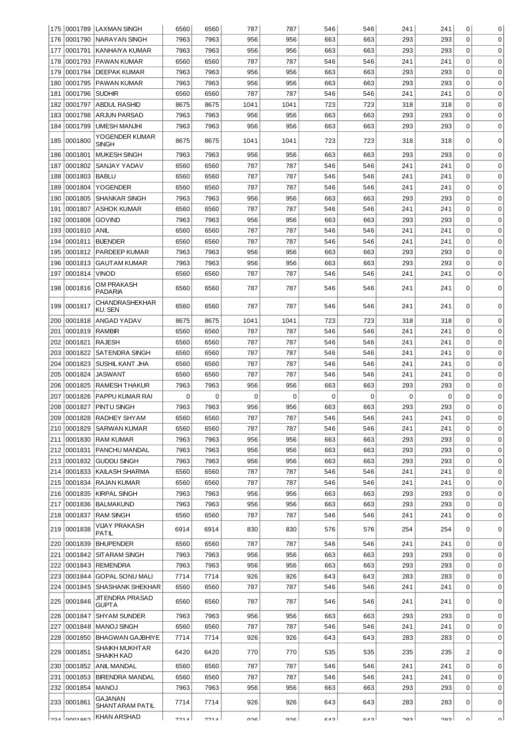| 175        |                    | 0001789  LAXMAN SINGH                      | 6560         | 6560         | 787        | 787        | 546        | 546        | 241        | 241        | 0           | 0                          |
|------------|--------------------|--------------------------------------------|--------------|--------------|------------|------------|------------|------------|------------|------------|-------------|----------------------------|
| 176        | 0001790            | <b>NARAYAN SINGH</b>                       | 7963         | 7963         | 956        | 956        | 663        | 663        | 293        | 293        | 0           | $\mathbf 0$                |
| 177        | 0001791            | KANHAIYA KUMAR                             | 7963         | 7963         | 956        | 956        | 663        | 663        | 293        | 293        | 0           | 0                          |
| 178        | 0001793            | <b>PAWAN KUMAR</b>                         | 6560         | 6560         | 787        | 787        | 546        | 546        | 241        | 241        | 0           | 0                          |
| 179        | 0001794            | <b>DEEPAK KUMAR</b>                        | 7963         | 7963         | 956        | 956        | 663        | 663        | 293        | 293        | 0           | 0                          |
| 180        | 0001795            | PAWAN KUMAR                                | 7963         | 7963         | 956        | 956        | 663        | 663        | 293        | 293        | $\mathbf 0$ | $\mathbf 0$                |
| 181        | 0001796            | <b>SUDHIR</b>                              | 6560         | 6560         | 787        | 787        | 546        | 546        | 241        | 241        | $\mathbf 0$ | $\mathbf 0$                |
| 182        | 0001797            | <b>ABDUL RASHID</b>                        | 8675         | 8675         | 1041       | 1041       | 723        | 723        | 318        | 318        | 0           | $\mathbf 0$                |
| 183        | 0001798            | <b>ARJUN PARSAD</b>                        | 7963         | 7963         | 956        | 956        | 663        | 663        | 293        | 293        | 0           | $\mathbf 0$                |
| 184        | 0001799            | <b>UMESH MANJHI</b>                        | 7963         | 7963         | 956        | 956        | 663        | 663        | 293        | 293        | $\mathbf 0$ | $\mathbf 0$                |
|            |                    | YOGENDER KUMAR                             |              |              |            |            |            |            |            |            |             |                            |
| 185        | 0001800            | <b>SINGH</b>                               | 8675         | 8675         | 1041       | 1041       | 723        | 723        | 318        | 318        | 0           | 0                          |
| 186        | 0001801            | <b>MUKESH SINGH</b>                        | 7963         | 7963         | 956        | 956        | 663        | 663        | 293        | 293        | 0           | $\mathbf 0$                |
| 187        | 0001802            | SANJAY YADAV                               | 6560         | 6560         | 787        | 787        | 546        | 546        | 241        | 241        | 0           | 0                          |
| 188        | 0001803            | <b>BABLU</b>                               | 6560         | 6560         | 787        | 787        | 546        | 546        | 241        | 241        | 0           | 0                          |
| 189        | 0001804            | <b>YOGENDER</b>                            | 6560         | 6560         | 787        | 787        | 546        | 546        | 241        | 241        | 0           | 0                          |
| 190        | 0001805            | <b>SHANKAR SINGH</b>                       | 7963         | 7963         | 956        | 956        | 663        | 663        | 293        | 293        | 0           | 0                          |
| 191        | 0001807            | <b>ASHOK KUMAR</b>                         | 6560         | 6560         | 787        | 787        | 546        | 546        | 241        | 241        | $\mathbf 0$ | 0                          |
| 192        | 0001808            | <b>GOVIND</b>                              | 7963         | 7963         | 956        | 956        | 663        | 663        | 293        | 293        | 0           | 0                          |
| 193        | 0001810            | <b>ANIL</b>                                | 6560         | 6560         | 787        | 787        | 546        | 546        | 241        | 241        | $\pmb{0}$   | $\mathbf 0$                |
| 194        | 0001811            | <b>BIJENDER</b>                            | 6560         | 6560         | 787        | 787        | 546        | 546        | 241        | 241        | 0           | $\mathbf 0$                |
| 195        | 0001812            | PARDEEP KUMAR                              | 7963         | 7963         | 956        | 956        | 663        | 663        | 293        | 293        | 0           | $\mathbf 0$                |
| 196        | 0001813            | <b>GAUTAM KUMAR</b>                        | 7963         | 7963         | 956        | 956        | 663        | 663        | 293        | 293        | 0           | $\mathbf 0$                |
| 197        | 0001814            | <b>VINOD</b>                               | 6560         | 6560         | 787        | 787        | 546        | 546        | 241        | 241        | 0           | $\mathbf 0$                |
| 198        | 0001816            | OM PRAKASH<br><b>PADARIA</b>               | 6560         | 6560         | 787        | 787        | 546        | 546        | 241        | 241        | 0           | $\Omega$                   |
| 199        | 0001817            | CHANDRASHEKHAR<br>KU. SEN                  | 6560         | 6560         | 787        | 787        | 546        | 546        | 241        | 241        | $\mathbf 0$ | 0                          |
| 200        | 0001818            | ANGAD YADAV                                | 8675         | 8675         | 1041       | 1041       | 723        | 723        | 318        | 318        | 0           | $\mathbf 0$                |
| 201        | 0001819            | <b>RAMBIR</b>                              | 6560         | 6560         | 787        | 787        | 546        | 546        | 241        | 241        | 0           | 0                          |
| 202        | 0001821            | <b>RAJESH</b>                              | 6560         | 6560         | 787        | 787        | 546        | 546        | 241        | 241        | 0           | $\mathbf 0$                |
| 203        | 0001822            | SATENDRA SINGH                             | 6560         | 6560         | 787        | 787        | 546        | 546        | 241        | 241        | 0           | $\mathbf 0$                |
| 204        | 0001823            | SUSHIL KANT JHA                            | 6560         | 6560         | 787        | 787        | 546        | 546        | 241        | 241        | 0           | 0                          |
| 205        | 0001824            | <b>JASWANT</b>                             | 6560         | 6560         | 787        | 787        | 546        | 546        | 241        | 241        | 0           | 0                          |
| 206        | 0001825            | <b>RAMESH THAKUR</b>                       | 7963         | 7963         | 956        | 956        | 663        | 663        | 293        | 293        | 0           | 0                          |
| 207        | 0001826            | PAPPU KUMAR RAI                            | 0            | 0            | $\Omega$   | 0          | 0          | $\Omega$   | 0          | 0          | 0           | 0                          |
| 208        | 0001827            | PINTU SINGH                                | 7963         | 7963         | 956        | 956        | 663        | 663        | 293        | 293        | 0           | 0                          |
| 209        | 0001828            | RADHEY SHYAM                               | 6560         | 6560         | 787        | 787        | 546        | 546        | 241        | 241        | $\Omega$    | 0                          |
| 210        |                    | 0001829 SARWAN KUMAR                       | 6560         | 6560         | 787        | 787        | 546        | 546        | 241        | 241        | 0           | 0                          |
| 211        | 0001830            | <b>RAM KUMAR</b>                           | 7963         | 7963         | 956        | 956        | 663        | 663        | 293        | 293        | $\Omega$    | $\mathbf 0$                |
| 212        | 0001831            | PANCHU MANDAL                              | 7963         | 7963         | 956        | 956        | 663        | 663        | 293        | 293        | $\mathbf 0$ | $\mathbf 0$                |
| 213        | 0001832            | <b>GUDDU SINGH</b>                         | 7963         | 7963         | 956        | 956        | 663        | 663        | 293        | 293        | $\mathbf 0$ | $\mathbf 0$                |
| 214        | 0001833            | KAILASH SHARMA                             | 6560         | 6560         | 787        | 787        | 546        | 546        | 241        | 241        | $\mathbf 0$ | $\mathbf 0$                |
| 215        | 0001834            | <b>RAJAN KUMAR</b>                         | 6560         | 6560         | 787        | 787        | 546        | 546        | 241        | 241        | 0           | $\mathbf 0$                |
| 216        | 0001835            | <b>KIRPAL SINGH</b>                        | 7963         | 7963         | 956        | 956        | 663        | 663        | 293        | 293        | 0           | $\mathbf 0$                |
| 217        | 0001836            | <b>BALMAKUND</b>                           | 7963         | 7963         | 956        | 956        | 663        | 663        | 293        | 293        | 0           | $\mathbf 0$                |
| 218        | 0001837            | <b>RAM SINGH</b>                           | 6560         | 6560         | 787        | 787        | 546        | 546        | 241        | 241        | 0           | $\mathbf 0$                |
| 219        | 0001838            | VIJAY PRAKASH<br>PATIL                     | 6914         | 6914         | 830        | 830        | 576        | 576        | 254        | 254        | 0           | 0                          |
| 220        | 0001839            | <b>BHUPENDER</b>                           | 6560         | 6560         | 787        | 787        | 546        | 546        | 241        | 241        | $\Omega$    | $\mathbf 0$                |
| 221        | 0001842            | <b>SITARAM SINGH</b>                       | 7963         | 7963         | 956        | 956        | 663        | 663        | 293        | 293        | $\mathbf 0$ | $\mathbf 0$                |
| 222        | 0001843            | <b>REMENDRA</b>                            | 7963         | 7963         | 956        | 956        | 663        | 663        | 293        | 293        | $\mathbf 0$ | $\mathbf 0$                |
| 223        | 0001844            | <b>GOPAL SONU MALI</b>                     | 7714         | 7714         | 926        | 926        | 643        | 643        | 283        | 283        | $\mathbf 0$ | $\mathbf 0$                |
| 224        | 0001845            | SHASHANK SHEKHAR                           | 6560         | 6560         | 787        | 787        | 546        | 546        | 241        | 241        | $\mathbf 0$ | $\mathbf 0$                |
| 225        | 0001846            | JITENDRA PRASAD                            | 6560         | 6560         | 787        | 787        | 546        | 546        | 241        | 241        | 0           | 0                          |
|            |                    | <b>GUPTA</b>                               |              |              |            |            |            |            |            |            |             |                            |
| 226        | 0001847            | <b>SHYAM SUNDER</b>                        | 7963         | 7963         | 956        | 956        | 663        | 663        | 293        | 293        | 0           | 0                          |
| 227        | 0001848            | MANOJ SINGH                                | 6560         | 6560         | 787        | 787        | 546        | 546        | 241        | 241        | $\Omega$    | $\mathbf 0$                |
| 228<br>229 | 0001850<br>0001851 | <b>BHAGWAN GAJBHIYE</b><br>SHAIKH MUKHT AR | 7714<br>6420 | 7714<br>6420 | 926<br>770 | 926<br>770 | 643<br>535 | 643<br>535 | 283<br>235 | 283<br>235 | 0<br>2      | $\mathbf 0$<br>$\mathbf 0$ |
| 230        | 0001852            | SHAIKH KAD<br><b>ANIL MANDAL</b>           | 6560         | 6560         | 787        | 787        | 546        | 546        | 241        | 241        | $\mathbf 0$ | $\mathbf 0$                |
| 231        | 0001853            | <b>BIRENDRA MANDAL</b>                     | 6560         | 6560         | 787        | 787        | 546        | 546        | 241        | 241        | 0           | $\mathbf 0$                |
| 232        | 0001854            | <b>MANOJ</b>                               | 7963         | 7963         | 956        | 956        | 663        | 663        | 293        | 293        | 0           | $\mathbf 0$                |
| 233        | 0001861            | GAJANAN<br>SHANT ARAM PATIL                | 7714         | 7714         | 926        | 926        | 643        | 643        | 283        | 283        | 0           | $\mathbf 0$                |
|            | captonnal recl     | <b>KHAN ARSHAD</b>                         | 771 A        | 771A         | ດາຂ        | nac        | C A        | C A        | כסר        | כסר        | n١          | nΙ                         |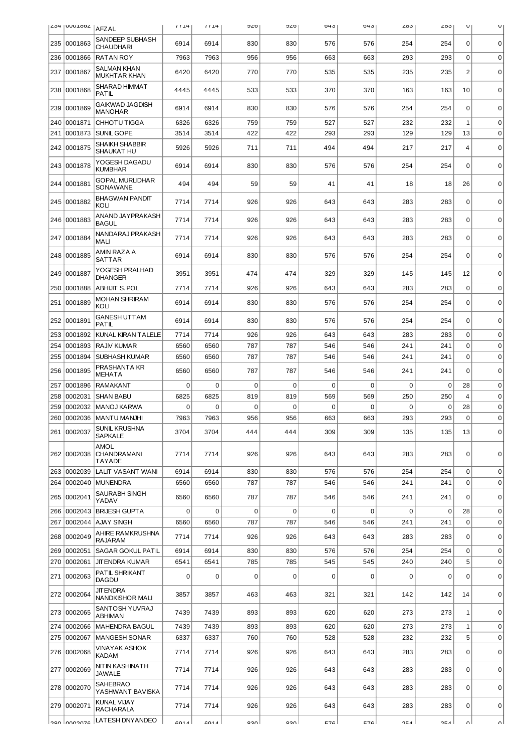|     | L <sub>294</sub>  UUU1002   AFZAL |                                           | 1114         | 1114         | ס∠פ         | ס∠פ        | 043         | 04 J        | 203         | دە∠         | U                | U                          |
|-----|-----------------------------------|-------------------------------------------|--------------|--------------|-------------|------------|-------------|-------------|-------------|-------------|------------------|----------------------------|
| 235 | 0001863                           | SANDEEP SUBHASH<br><b>CHAUDHARI</b>       | 6914         | 6914         | 830         | 830        | 576         | 576         | 254         | 254         | 0                | 0                          |
| 236 | 0001866                           | <b>RATAN ROY</b>                          | 7963         | 7963         | 956         | 956        | 663         | 663         | 293         | 293         | $\mathbf 0$      | $\mathbf 0$                |
| 237 | 0001867                           | <b>SALMAN KHAN</b><br><b>MUKHTAR KHAN</b> | 6420         | 6420         | 770         | 770        | 535         | 535         | 235         | 235         | $\overline{c}$   | $\Omega$                   |
| 238 | 0001868                           | SHARAD HIMMAT<br><b>PATIL</b>             | 4445         | 4445         | 533         | 533        | 370         | 370         | 163         | 163         | 10               | 0                          |
| 239 | 0001869                           | <b>GAIKWAD JAGDISH</b><br><b>MANOHAR</b>  | 6914         | 6914         | 830         | 830        | 576         | 576         | 254         | 254         | $\Omega$         | $\mathbf 0$                |
| 240 | 0001871                           | CHHOTU TIGGA                              | 6326         | 6326         | 759         | 759        | 527         | 527         | 232         | 232         | $\mathbf{1}$     | $\mathbf 0$                |
| 241 | 0001873                           | SUNIL GOPE                                | 3514         | 3514         | 422         | 422        | 293         | 293         | 129         | 129         | 13               | $\mathbf 0$                |
| 242 | 0001875                           | <b>SHAIKH SHABBIR</b><br>SHAUKAT HU       | 5926         | 5926         | 711         | 711        | 494         | 494         | 217         | 217         | 4                | $\mathbf 0$                |
|     | 243 0001878                       | YOGESH DAGADU<br><b>KUMBHAR</b>           | 6914         | 6914         | 830         | 830        | 576         | 576         | 254         | 254         | $\mathbf 0$      | $\mathbf 0$                |
| 244 | 0001881                           | <b>GOPAL MURLIDHAR</b><br>SONAWANE        | 494          | 494          | 59          | 59         | 41          | 41          | 18          | 18          | 26               | $\mathbf 0$                |
| 245 | 0001882                           | <b>BHAGWAN PANDIT</b><br>KOLI             | 7714         | 7714         | 926         | 926        | 643         | 643         | 283         | 283         | 0                | $\mathbf 0$                |
|     | 246 0001883                       | ANAND JAYPRAKASH<br><b>BAGUL</b>          | 7714         | 7714         | 926         | 926        | 643         | 643         | 283         | 283         | 0                | 0                          |
| 247 | 0001884                           | NANDARAJ PRAKASH<br><b>MALI</b>           | 7714         | 7714         | 926         | 926        | 643         | 643         | 283         | 283         | $\mathbf 0$      | $\mathbf 0$                |
| 248 | 0001885                           | AMIN RAZA A<br><b>SATTAR</b>              | 6914         | 6914         | 830         | 830        | 576         | 576         | 254         | 254         | 0                | $\mathbf 0$                |
| 249 | 0001887                           | YOGESH PRALHAD<br><b>DHANGER</b>          | 3951         | 3951         | 474         | 474        | 329         | 329         | 145         | 145         | 12               | $\mathbf 0$                |
| 250 | 0001888                           | <b>ABHIJIT S. POL</b>                     | 7714         | 7714         | 926         | 926        | 643         | 643         | 283         | 283         | $\boldsymbol{0}$ | $\mathbf 0$                |
| 251 | 0001889                           | <b>MOHAN SHRIRAM</b><br>KOLI              | 6914         | 6914         | 830         | 830        | 576         | 576         | 254         | 254         | 0                | 0                          |
| 252 | 0001891                           | <b>GANESH UTTAM</b><br><b>PATIL</b>       | 6914         | 6914         | 830         | 830        | 576         | 576         | 254         | 254         | $\mathbf 0$      | $\mathbf 0$                |
| 253 | 0001892                           | KUNAL KIRAN TALELE                        | 7714         | 7714         | 926         | 926        | 643         | 643         | 283         | 283         | 0                | $\mathbf 0$                |
| 254 | 0001893                           | <b>RAJIV KUMAR</b>                        | 6560         | 6560         | 787         | 787        | 546         | 546         | 241         | 241         | 0                | $\mathbf 0$                |
| 255 | 0001894                           | <b>SUBHASH KUMAR</b>                      | 6560         | 6560         | 787         | 787        | 546         | 546         | 241         | 241         | $\boldsymbol{0}$ | $\mathbf 0$                |
| 256 | 0001895                           | PRASHANTA KR<br><b>MEHATA</b>             | 6560         | 6560         | 787         | 787        | 546         | 546         | 241         | 241         | $\Omega$         | $\mathbf 0$                |
| 257 | 0001896                           | <b>RAMAKANT</b>                           | 0            | $\mathbf 0$  | $\mathbf 0$ | 0          | 0           | $\Omega$    | $\mathbf 0$ | $\mathbf 0$ | 28               | 0                          |
| 258 | 0002031                           | <b>SHAN BABU</b>                          | 6825         | 6825         | 819         | 819        | 569         | 569         | 250         | 250         | 4                | 0                          |
| 259 | 0002032                           | <b>MANOJ KARWA</b>                        | 0            | $\mathbf 0$  | $\mathbf 0$ | 0          | 0           | $\mathbf 0$ | 0           | 0           | 28               | 0                          |
| 260 | 0002036                           | MANTU MANJHI                              | 7963         | 7963         | 956         | 956        | 663         | 663         | 293         | 293         | 0                | $\mathbf 0$                |
|     | 261 0002037                       | SUNIL KRUSHNA<br><b>SAPKALE</b><br>AMOL   | 3704         | 3704         | 444         | 444        | 309         | 309         | 135         | 135         | 13               | $\mathbf 0$                |
|     | 262 0002038                       | CHANDRAMANI<br><b>TAYADE</b>              | 7714         | 7714         | 926         | 926        | 643         | 643         | 283         | 283         | $\mathbf 0$      | $\mathbf 0$                |
| 263 | 0002039                           | LALIT VASANT WANI                         | 6914         | 6914         | 830         | 830        | 576         | 576         | 254         | 254         | 0                | $\mathbf 0$                |
| 264 | 0002040                           | <b>MUNENDRA</b>                           | 6560         | 6560         | 787         | 787        | 546         | 546         | 241         | 241         | 0                | $\mathbf 0$                |
| 265 | 0002041                           | SAURABH SINGH<br>YADAV                    | 6560         | 6560         | 787         | 787        | 546         | 546         | 241         | 241         | 0                | $\mathbf 0$                |
| 266 | 0002043                           | <b>BRIJESH GUPTA</b>                      | 0            | 0            | 0           | 0          | 0           | 0           | 0           | 0           | 28               | 0                          |
| 267 | 0002044                           | <b>AJAY SINGH</b>                         | 6560         | 6560         | 787         | 787        | 546         | 546         | 241         | 241         | $\mathbf 0$      | $\mathbf 0$                |
|     | 268 0002049                       | <b>AHIRE RAMKRUSHNA</b><br><b>RAJARAM</b> | 7714         | 7714         | 926         | 926        | 643         | 643         | 283         | 283         | $\Omega$         | $\mathbf 0$                |
| 269 | 0002051                           | SAGAR GOKUL PATIL                         | 6914         | 6914         | 830         | 830        | 576         | 576         | 254         | 254         | 0                | $\mathbf 0$                |
| 270 | 0002061                           | <b>JITENDRA KUMAR</b>                     | 6541         | 6541         | 785         | 785        | 545         | 545         | 240         | 240         | 5                | 0                          |
| 271 | 0002063                           | PATIL SHRIKANT<br><b>DAGDU</b>            | 0            | 0            | 0           | 0          | $\mathbf 0$ | 0           | 0           | 0           | 0                | $\mathbf 0$                |
| 272 | 0002064                           | <b>JIT ENDRA</b><br>NANDKISHOR MALI       | 3857         | 3857         | 463         | 463        | 321         | 321         | 142         | 142         | 14               | $\mathbf 0$                |
|     | 273 0002065                       | SANTOSH YUVRAJ<br>ABHIMAN                 | 7439         | 7439         | 893         | 893        | 620         | 620         | 273         | 273         | 1                | $\mathbf 0$                |
| 274 | 0002066                           | MAHENDRA BAGUL                            | 7439         | 7439         | 893         | 893        | 620         | 620         | 273         | 273         | 1                | $\mathbf 0$                |
| 275 | 0002067<br>276 0002068            | <b>MANGESH SONAR</b><br>VINAYAK ASHOK     | 6337<br>7714 | 6337<br>7714 | 760<br>926  | 760<br>926 | 528<br>643  | 528<br>643  | 232<br>283  | 232<br>283  | 5<br>0           | $\mathbf 0$<br>$\mathbf 0$ |
| 277 | 0002069                           | KADAM<br>NIT IN KASHINATH                 | 7714         | 7714         | 926         | 926        | 643         | 643         | 283         | 283         | $\mathbf 0$      | $\mathbf 0$                |
|     | 278 0002070                       | <b>JAWALE</b><br>SAHEBRAO                 | 7714         | 7714         | 926         | 926        | 643         | 643         | 283         | 283         | 0                | $\mathbf 0$                |
| 279 | 0002071                           | YASHWANT BAVISKA<br>KUNAL VIJAY           | 7714         | 7714         | 926         | 926        | 643         | 643         | 283         | 283         | 0                | 0                          |
|     | l don Innnanze                    | <b>RACHARALA</b><br>LATESH DNYANDEO       | 011          | 011          | uco         | oonl       | <b>576</b>  | <b>576</b>  | つにん         | つにん         | nΙ               | nΙ                         |